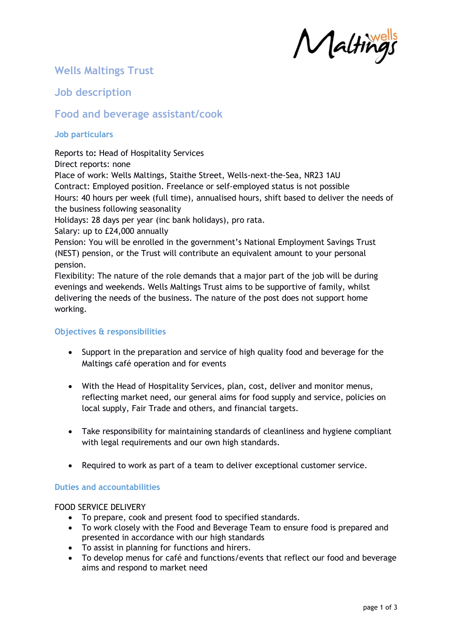Malting

# **Wells Maltings Trust**

## **Job description**

### **Food and beverage assistant/cook**

### **Job particulars**

Reports to**:** Head of Hospitality Services

Direct reports: none Place of work: Wells Maltings, Staithe Street, Wells-next-the-Sea, NR23 1AU Contract: Employed position. Freelance or self-employed status is not possible Hours: 40 hours per week (full time), annualised hours, shift based to deliver the needs of the business following seasonality Holidays: 28 days per year (inc bank holidays), pro rata. Salary: up to £24,000 annually Pension: You will be enrolled in the government's National Employment Savings Trust

(NEST) pension, or the Trust will contribute an equivalent amount to your personal pension.

Flexibility: The nature of the role demands that a major part of the job will be during evenings and weekends. Wells Maltings Trust aims to be supportive of family, whilst delivering the needs of the business. The nature of the post does not support home working.

### **Objectives & responsibilities**

- Support in the preparation and service of high quality food and beverage for the Maltings café operation and for events
- With the Head of Hospitality Services, plan, cost, deliver and monitor menus, reflecting market need, our general aims for food supply and service, policies on local supply, Fair Trade and others, and financial targets.
- Take responsibility for maintaining standards of cleanliness and hygiene compliant with legal requirements and our own high standards.
- Required to work as part of a team to deliver exceptional customer service.

### **Duties and accountabilities**

### FOOD SERVICE DELIVERY

- To prepare, cook and present food to specified standards.
- To work closely with the Food and Beverage Team to ensure food is prepared and presented in accordance with our high standards
- To assist in planning for functions and hirers.
- To develop menus for café and functions/events that reflect our food and beverage aims and respond to market need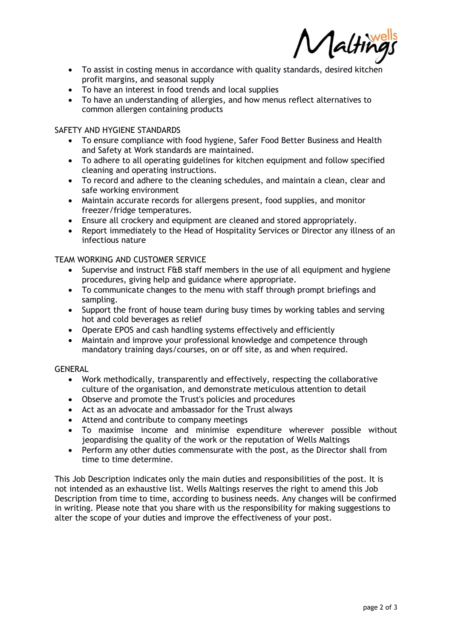Aaltii

- To assist in costing menus in accordance with quality standards, desired kitchen profit margins, and seasonal supply
- To have an interest in food trends and local supplies
- To have an understanding of allergies, and how menus reflect alternatives to common allergen containing products

#### SAFETY AND HYGIENE STANDARDS

- To ensure compliance with food hygiene, Safer Food Better Business and Health and Safety at Work standards are maintained.
- To adhere to all operating guidelines for kitchen equipment and follow specified cleaning and operating instructions.
- To record and adhere to the cleaning schedules, and maintain a clean, clear and safe working environment
- Maintain accurate records for allergens present, food supplies, and monitor freezer/fridge temperatures.
- Ensure all crockery and equipment are cleaned and stored appropriately.
- Report immediately to the Head of Hospitality Services or Director any illness of an infectious nature

#### TEAM WORKING AND CUSTOMER SERVICE

- Supervise and instruct F&B staff members in the use of all equipment and hygiene procedures, giving help and guidance where appropriate.
- To communicate changes to the menu with staff through prompt briefings and sampling.
- Support the front of house team during busy times by working tables and serving hot and cold beverages as relief
- Operate EPOS and cash handling systems effectively and efficiently
- Maintain and improve your professional knowledge and competence through mandatory training days/courses, on or off site, as and when required.

#### GENERAL

- Work methodically, transparently and effectively, respecting the collaborative culture of the organisation, and demonstrate meticulous attention to detail
- Observe and promote the Trust's policies and procedures
- Act as an advocate and ambassador for the Trust always
- Attend and contribute to company meetings
- To maximise income and minimise expenditure wherever possible without jeopardising the quality of the work or the reputation of Wells Maltings
- Perform any other duties commensurate with the post, as the Director shall from time to time determine.

This Job Description indicates only the main duties and responsibilities of the post. It is not intended as an exhaustive list. Wells Maltings reserves the right to amend this Job Description from time to time, according to business needs. Any changes will be confirmed in writing. Please note that you share with us the responsibility for making suggestions to alter the scope of your duties and improve the effectiveness of your post.